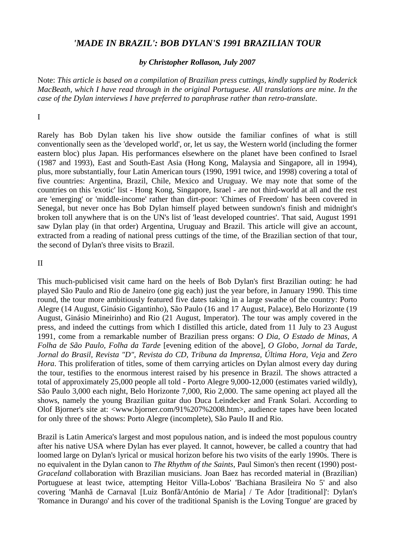# *'MADE IN BRAZIL': BOB DYLAN'S 1991 BRAZILIAN TOUR*

### *by Christopher Rollason, July 2007*

Note: *This article is based on a compilation of Brazilian press cuttings, kindly supplied by Roderick MacBeath, which I have read through in the original Portuguese. All translations are mine. In the case of the Dylan interviews I have preferred to paraphrase rather than retro-translate*.

### I

Rarely has Bob Dylan taken his live show outside the familiar confines of what is still conventionally seen as the 'developed world', or, let us say, the Western world (including the former eastern bloc) plus Japan. His performances elsewhere on the planet have been confined to Israel (1987 and 1993), East and South-East Asia (Hong Kong, Malaysia and Singapore, all in 1994), plus, more substantially, four Latin American tours (1990, 1991 twice, and 1998) covering a total of five countries: Argentina, Brazil, Chile, Mexico and Uruguay. We may note that some of the countries on this 'exotic' list - Hong Kong, Singapore, Israel - are not third-world at all and the rest are 'emerging' or 'middle-income' rather than dirt-poor: 'Chimes of Freedom' has been covered in Senegal, but never once has Bob Dylan himself played between sundown's finish and midnight's broken toll anywhere that is on the UN's list of 'least developed countries'. That said, August 1991 saw Dylan play (in that order) Argentina, Uruguay and Brazil. This article will give an account, extracted from a reading of national press cuttings of the time, of the Brazilian section of that tour, the second of Dylan's three visits to Brazil.

#### II

This much-publicised visit came hard on the heels of Bob Dylan's first Brazilian outing: he had played São Paulo and Rio de Janeiro (one gig each) just the year before, in January 1990. This time round, the tour more ambitiously featured five dates taking in a large swathe of the country: Porto Alegre (14 August, Ginásio Gigantinho), São Paulo (16 and 17 August, Palace), Belo Horizonte (19 August, Ginásio Mineirinho) and Rio (21 August, Imperator). The tour was amply covered in the press, and indeed the cuttings from which I distilled this article, dated from 11 July to 23 August 1991, come from a remarkable number of Brazilian press organs: *O Dia, O Estado de Minas, A Folha de São Paulo, Folha da Tarde* [evening edition of the above]*, O Globo, Jornal da Tarde, Jornal do Brasil, Revista "D", Revista do CD, Tribuna da Imprensa, Última Hora, Veja* and *Zero Hora*. This proliferation of titles, some of them carrying articles on Dylan almost every day during the tour, testifies to the enormous interest raised by his presence in Brazil. The shows attracted a total of approximately 25,000 people all told - Porto Alegre 9,000-12,000 (estimates varied wildly), São Paulo 3,000 each night, Belo Horizonte 7,000, Rio 2,000. The same opening act played all the shows, namely the young Brazilian guitar duo Duca Leindecker and Frank Solari. According to Olof Bjorner's site at: <www.bjorner.com/91%207%2008.htm>, audience tapes have been located for only three of the shows: Porto Alegre (incomplete), São Paulo II and Rio.

Brazil is Latin America's largest and most populous nation, and is indeed the most populous country after his native USA where Dylan has ever played. It cannot, however, be called a country that had loomed large on Dylan's lyrical or musical horizon before his two visits of the early 1990s. There is no equivalent in the Dylan canon to *The Rhythm of the Saints*, Paul Simon's then recent (1990) post-*Graceland* collaboration with Brazilian musicians. Joan Baez has recorded material in (Brazilian) Portuguese at least twice, attempting Heitor Villa-Lobos' 'Bachiana Brasileira No 5' and also covering 'Manhã de Carnaval [Luiz Bonfã/António de Maria] / Te Ador [traditional]': Dylan's 'Romance in Durango' and his cover of the traditional Spanish is the Loving Tongue' are graced by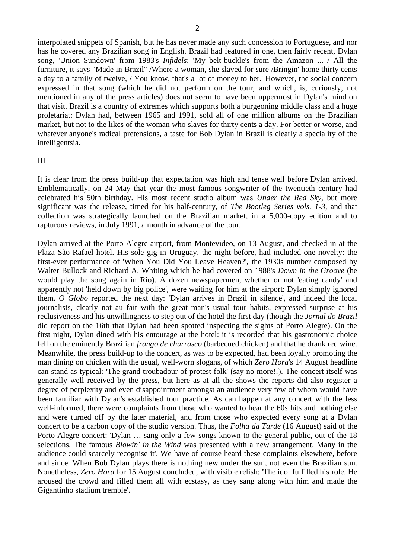interpolated snippets of Spanish, but he has never made any such concession to Portuguese, and nor has he covered any Brazilian song in English. Brazil had featured in one, then fairly recent, Dylan song, 'Union Sundown' from 1983's *Infidels*: 'My belt-buckle's from the Amazon ... / All the furniture, it says "Made in Brazil" /Where a woman, she slaved for sure /Bringin' home thirty cents a day to a family of twelve, / You know, that's a lot of money to her.' However, the social concern expressed in that song (which he did not perform on the tour, and which, is, curiously, not mentioned in any of the press articles) does not seem to have been uppermost in Dylan's mind on that visit. Brazil is a country of extremes which supports both a burgeoning middle class and a huge proletariat: Dylan had, between 1965 and 1991, sold all of one million albums on the Brazilian market, but not to the likes of the woman who slaves for thirty cents a day. For better or worse, and whatever anyone's radical pretensions, a taste for Bob Dylan in Brazil is clearly a speciality of the intelligentsia.

## III

It is clear from the press build-up that expectation was high and tense well before Dylan arrived. Emblematically, on 24 May that year the most famous songwriter of the twentieth century had celebrated his 50th birthday. His most recent studio album was *Under the Red Sky*, but more significant was the release, timed for his half-century, of *The Bootleg Series vols. 1-3*, and that collection was strategically launched on the Brazilian market, in a 5,000-copy edition and to rapturous reviews, in July 1991, a month in advance of the tour.

Dylan arrived at the Porto Alegre airport, from Montevideo, on 13 August, and checked in at the Plaza São Rafael hotel. His sole gig in Uruguay, the night before, had included one novelty: the first-ever performance of 'When You Did You Leave Heaven?', the 1930s number composed by Walter Bullock and Richard A. Whiting which he had covered on 1988's *Down in the Groove* (he would play the song again in Rio). A dozen newspapermen, whether or not 'eating candy' and apparently not 'held down by big police', were waiting for him at the airport: Dylan simply ignored them. *O Globo* reported the next day: 'Dylan arrives in Brazil in silence', and indeed the local journalists, clearly not au fait with the great man's usual tour habits, expressed surprise at his reclusiveness and his unwillingness to step out of the hotel the first day (though the *Jornal do Brazil* did report on the 16th that Dylan had been spotted inspecting the sights of Porto Alegre). On the first night, Dylan dined with his entourage at the hotel: it is recorded that his gastronomic choice fell on the eminently Brazilian *frango de churrasco* (barbecued chicken) and that he drank red wine. Meanwhile, the press build-up to the concert, as was to be expected, had been loyally promoting the man dining on chicken with the usual, well-worn slogans, of which *Zero Hora*'s 14 August headline can stand as typical: 'The grand troubadour of protest folk' (say no more!!). The concert itself was generally well received by the press, but here as at all the shows the reports did also register a degree of perplexity and even disappointment amongst an audience very few of whom would have been familiar with Dylan's established tour practice. As can happen at any concert with the less well-informed, there were complaints from those who wanted to hear the 60s hits and nothing else and were turned off by the later material, and from those who expected every song at a Dylan concert to be a carbon copy of the studio version. Thus, the *Folha da Tarde* (16 August) said of the Porto Alegre concert: 'Dylan … sang only a few songs known to the general public, out of the 18 selections. The famous *Blowin' in the Wind* was presented with a new arrangement. Many in the audience could scarcely recognise it'. We have of course heard these complaints elsewhere, before and since. When Bob Dylan plays there is nothing new under the sun, not even the Brazilian sun. Nonetheless, *Zero Hora* for 15 August concluded, with visible relish: 'The idol fulfilled his role. He aroused the crowd and filled them all with ecstasy, as they sang along with him and made the Gigantinho stadium tremble'.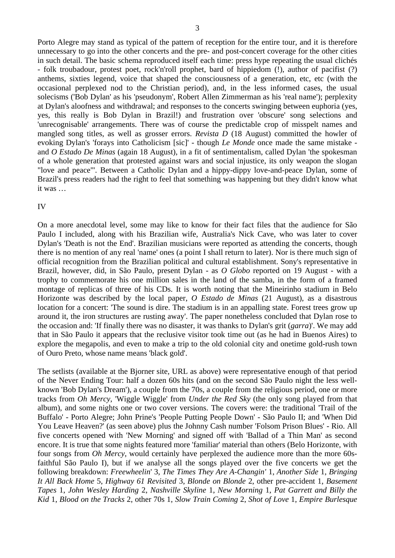Porto Alegre may stand as typical of the pattern of reception for the entire tour, and it is therefore unnecessary to go into the other concerts and the pre- and post-concert coverage for the other cities in such detail. The basic schema reproduced itself each time: press hype repeating the usual clichés - folk troubadour, protest poet, rock'n'roll prophet, bard of hippiedom (!), author of pacifist (?) anthems, sixties legend, voice that shaped the consciousness of a generation, etc, etc (with the occasional perplexed nod to the Christian period), and, in the less informed cases, the usual solecisms ('Bob Dylan' as his 'pseudonym', Robert Allen Zimmerman as his 'real name'); perplexity at Dylan's aloofness and withdrawal; and responses to the concerts swinging between euphoria (yes, yes, this really is Bob Dylan in Brazil!) and frustration over 'obscure' song selections and 'unrecognisable' arrangements. There was of course the predictable crop of misspelt names and mangled song titles, as well as grosser errors. *Revista D* (18 August) committed the howler of evoking Dylan's 'forays into Catholicism [sic]' - though *Le Monde* once made the same mistake and *O Estado De Minas* (again 18 August), in a fit of sentimentalism, called Dylan 'the spokesman of a whole generation that protested against wars and social injustice, its only weapon the slogan "love and peace"'. Between a Catholic Dylan and a hippy-dippy love-and-peace Dylan, some of Brazil's press readers had the right to feel that something was happening but they didn't know what it was …

#### IV

On a more anecdotal level, some may like to know for their fact files that the audience for São Paulo I included, along with his Brazilian wife, Australia's Nick Cave, who was later to cover Dylan's 'Death is not the End'. Brazilian musicians were reported as attending the concerts, though there is no mention of any real 'name' ones (a point I shall return to later). Nor is there much sign of official recognition from the Brazilian political and cultural establishment. Sony's representative in Brazil, however, did, in São Paulo, present Dylan - as *O Globo* reported on 19 August - with a trophy to commemorate his one million sales in the land of the samba, in the form of a framed montage of replicas of three of his CDs. It is worth noting that the Mineirinho stadium in Belo Horizonte was described by the local paper, *O Estado de Minas* (21 August), as a disastrous location for a concert: 'The sound is dire. The stadium is in an appalling state. Forest trees grow up around it, the iron structures are rusting away'. The paper nonetheless concluded that Dylan rose to the occasion and: 'If finally there was no disaster, it was thanks to Dylan's grit (*garra*)'. We may add that in São Paulo it appears that the reclusive visitor took time out (as he had in Buenos Aires) to explore the megapolis, and even to make a trip to the old colonial city and onetime gold-rush town of Ouro Preto, whose name means 'black gold'.

The setlists (available at the Bjorner site, URL as above) were representative enough of that period of the Never Ending Tour: half a dozen 60s hits (and on the second São Paulo night the less wellknown 'Bob Dylan's Dream'), a couple from the 70s, a couple from the religious period, one or more tracks from *Oh Mercy*, 'Wiggle Wiggle' from *Under the Red Sky* (the only song played from that album), and some nights one or two cover versions. The covers were: the traditional 'Trail of the Buffalo' - Porto Alegre; John Prine's 'People Putting People Down' - São Paulo II; and 'When Did You Leave Heaven?' (as seen above) plus the Johnny Cash number 'Folsom Prison Blues' - Rio. All five concerts opened with 'New Morning' and signed off with 'Ballad of a Thin Man' as second encore. It is true that some nights featured more 'familiar' material than others (Belo Horizonte, with four songs from *Oh Mercy*, would certainly have perplexed the audience more than the more 60sfaithful São Paulo I), but if we analyse all the songs played over the five concerts we get the following breakdown: *Freewheelin*' 3, *The Times They Are A-Changin'* 1, *Another Side* 1, *Bringing It All Back Home* 5, *Highway 61 Revisited* 3, *Blonde on Blonde* 2, other pre-accident 1, *Basement Tapes* 1, *John Wesley Harding* 2, *Nashville Skyline* 1, *New Morning* 1, *Pat Garrett and Billy the Kid* 1, *Blood on the Tracks* 2, other 70s 1, *Slow Train Coming* 2, *Shot of Love* 1, *Empire Burlesque*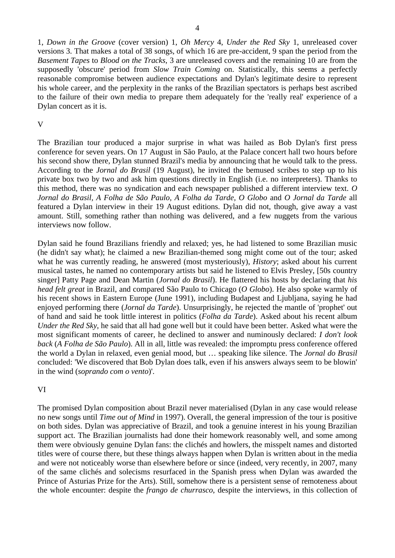1, *Down in the Groove* (cover version) 1, *Oh Mercy* 4, *Under the Red Sky* 1, unreleased cover versions 3. That makes a total of 38 songs, of which 16 are pre-accident, 9 span the period from the *Basement Tapes* to *Blood on the Tracks*, 3 are unreleased covers and the remaining 10 are from the supposedly 'obscure' period from *Slow Train Coming* on. Statistically, this seems a perfectly reasonable compromise between audience expectations and Dylan's legitimate desire to represent his whole career, and the perplexity in the ranks of the Brazilian spectators is perhaps best ascribed to the failure of their own media to prepare them adequately for the 'really real' experience of a Dylan concert as it is.

#### V

The Brazilian tour produced a major surprise in what was hailed as Bob Dylan's first press conference for seven years. On 17 August in São Paulo, at the Palace concert hall two hours before his second show there, Dylan stunned Brazil's media by announcing that he would talk to the press. According to the *Jornal do Brasil* (19 August), he invited the bemused scribes to step up to his private box two by two and ask him questions directly in English (i.e. no interpreters). Thanks to this method, there was no syndication and each newspaper published a different interview text. *O Jornal do Brasil, A Folha de São Paulo, A Folha da Tarde, O Globo* and *O Jornal da Tarde* all featured a Dylan interview in their 19 August editions. Dylan did not, though, give away a vast amount. Still, something rather than nothing was delivered, and a few nuggets from the various interviews now follow.

Dylan said he found Brazilians friendly and relaxed; yes, he had listened to some Brazilian music (he didn't say what); he claimed a new Brazilian-themed song might come out of the tour; asked what he was currently reading, he answered (most mysteriously), *History*; asked about his current musical tastes, he named no contemporary artists but said he listened to Elvis Presley, [50s country singer] Patty Page and Dean Martin (*Jornal do Brasil*). He flattered his hosts by declaring that *his head felt great* in Brazil, and compared São Paulo to Chicago (*O Globo*). He also spoke warmly of his recent shows in Eastern Europe (June 1991), including Budapest and Ljubljana, saying he had enjoyed performing there (*Jornal da Tarde*). Unsurprisingly, he rejected the mantle of 'prophet' out of hand and said he took little interest in politics (*Folha da Tarde*). Asked about his recent album *Under the Red Sky*, he said that all had gone well but it could have been better. Asked what were the most significant moments of career, he declined to answer and numinously declared: *I don't look back* (*A Folha de São Paulo*). All in all, little was revealed: the impromptu press conference offered the world a Dylan in relaxed, even genial mood, but … speaking like silence. The *Jornal do Brasil* concluded: 'We discovered that Bob Dylan does talk, even if his answers always seem to be blowin' in the wind (*soprando com o vento*)'.

### VI

The promised Dylan composition about Brazil never materialised (Dylan in any case would release no new songs until *Time out of Mind* in 1997). Overall, the general impression of the tour is positive on both sides. Dylan was appreciative of Brazil, and took a genuine interest in his young Brazilian support act. The Brazilian journalists had done their homework reasonably well, and some among them were obviously genuine Dylan fans: the clichés and howlers, the misspelt names and distorted titles were of course there, but these things always happen when Dylan is written about in the media and were not noticeably worse than elsewhere before or since (indeed, very recently, in 2007, many of the same clichés and solecisms resurfaced in the Spanish press when Dylan was awarded the Prince of Asturias Prize for the Arts). Still, somehow there is a persistent sense of remoteness about the whole encounter: despite the *frango de churrasco*, despite the interviews, in this collection of